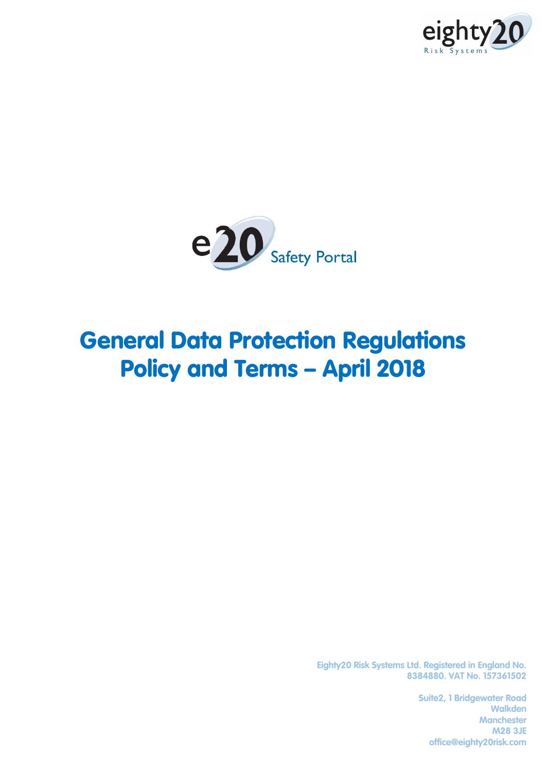



## General Data Protection Regulations Policy and Terms – April 2018

**Eighty20 Risk Systems Ltd. Registered in England No. 8384880. VAT No. 157361502**

> **Suite2, 1 Bridgewater Road Walkden Manchester M28 3JE office@eighty20risk.com**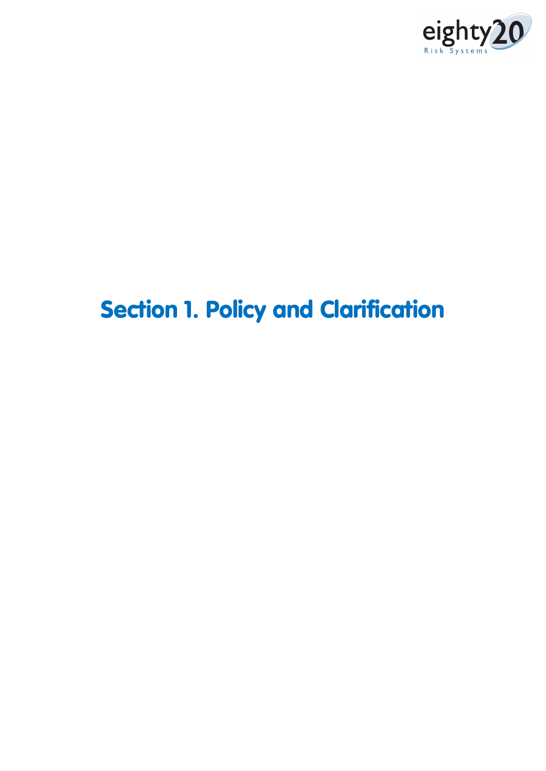

# Section 1. Policy and Clarification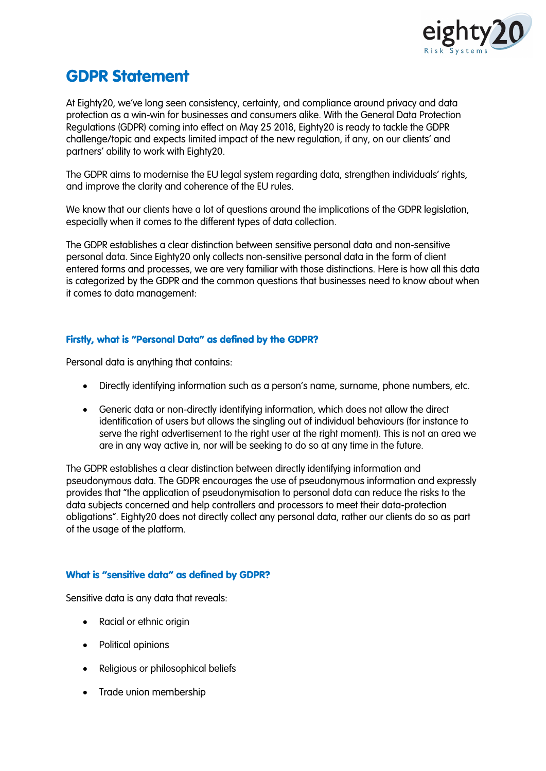

### GDPR Statement

At Eighty20, we've long seen consistency, certainty, and compliance around privacy and data protection as a win-win for businesses and consumers alike. With the General Data Protection Regulations (GDPR) coming into effect on May 25 2018, Eighty20 is ready to tackle the GDPR challenge/topic and expects limited impact of the new regulation, if any, on our clients' and partners' ability to work with Eighty20.

The GDPR aims to modernise the EU legal system regarding data, strengthen individuals' rights, and improve the clarity and coherence of the EU rules.

We know that our clients have a lot of questions around the implications of the GDPR legislation, especially when it comes to the different types of data collection.

The GDPR establishes a clear distinction between sensitive personal data and non-sensitive personal data. Since Eighty20 only collects non-sensitive personal data in the form of client entered forms and processes, we are very familiar with those distinctions. Here is how all this data is categorized by the GDPR and the common questions that businesses need to know about when it comes to data management:

#### Firstly, what is "Personal Data" as defined by the GDPR?

Personal data is anything that contains:

- Directly identifying information such as a person's name, surname, phone numbers, etc.
- Generic data or non-directly identifying information, which does not allow the direct identification of users but allows the singling out of individual behaviours (for instance to serve the right advertisement to the right user at the right moment). This is not an area we are in any way active in, nor will be seeking to do so at any time in the future.

The GDPR establishes a clear distinction between directly identifying information and pseudonymous data. The GDPR encourages the use of pseudonymous information and expressly provides that "the application of pseudonymisation to personal data can reduce the risks to the data subjects concerned and help controllers and processors to meet their data-protection obligations". Eighty20 does not directly collect any personal data, rather our clients do so as part of the usage of the platform.

#### What is "sensitive data" as defined by GDPR?

Sensitive data is any data that reveals:

- Racial or ethnic origin
- Political opinions
- Religious or philosophical beliefs
- Trade union membership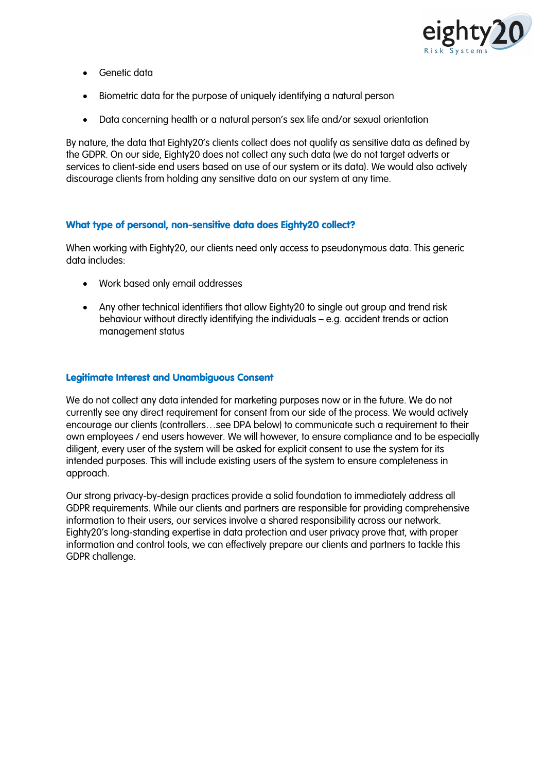

- Genetic data
- Biometric data for the purpose of uniquely identifying a natural person
- Data concerning health or a natural person's sex life and/or sexual orientation

By nature, the data that Eighty20's clients collect does not qualify as sensitive data as defined by the GDPR. On our side, Eighty20 does not collect any such data (we do not target adverts or services to client-side end users based on use of our system or its data). We would also actively discourage clients from holding any sensitive data on our system at any time.

#### What type of personal, non-sensitive data does Eighty20 collect?

When working with Eighty20, our clients need only access to pseudonymous data. This generic data includes:

- Work based only email addresses
- Any other technical identifiers that allow Eighty20 to single out group and trend risk behaviour without directly identifying the individuals – e.g. accident trends or action management status

#### Legitimate Interest and Unambiguous Consent

We do not collect any data intended for marketing purposes now or in the future. We do not currently see any direct requirement for consent from our side of the process. We would actively encourage our clients (controllers…see DPA below) to communicate such a requirement to their own employees / end users however. We will however, to ensure compliance and to be especially diligent, every user of the system will be asked for explicit consent to use the system for its intended purposes. This will include existing users of the system to ensure completeness in approach.

Our strong privacy-by-design practices provide a solid foundation to immediately address all GDPR requirements. While our clients and partners are responsible for providing comprehensive information to their users, our services involve a shared responsibility across our network. Eighty20's long-standing expertise in data protection and user privacy prove that, with proper information and control tools, we can effectively prepare our clients and partners to tackle this GDPR challenge.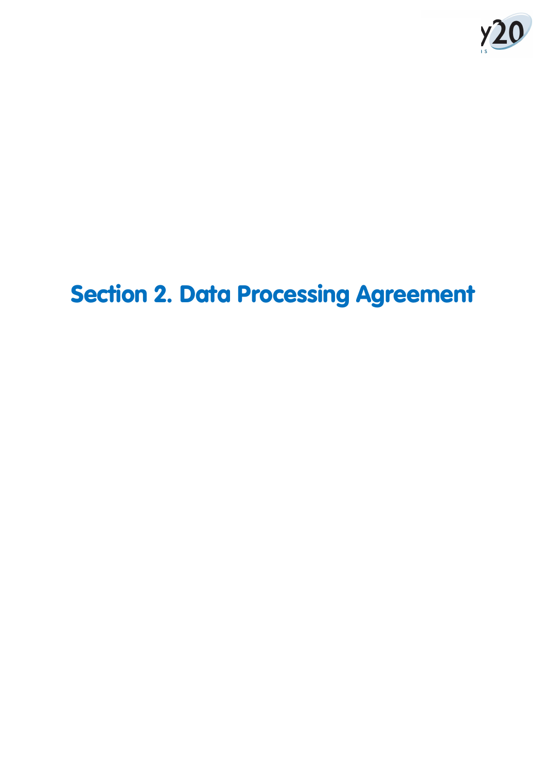

# Section 2. Data Processing Agreement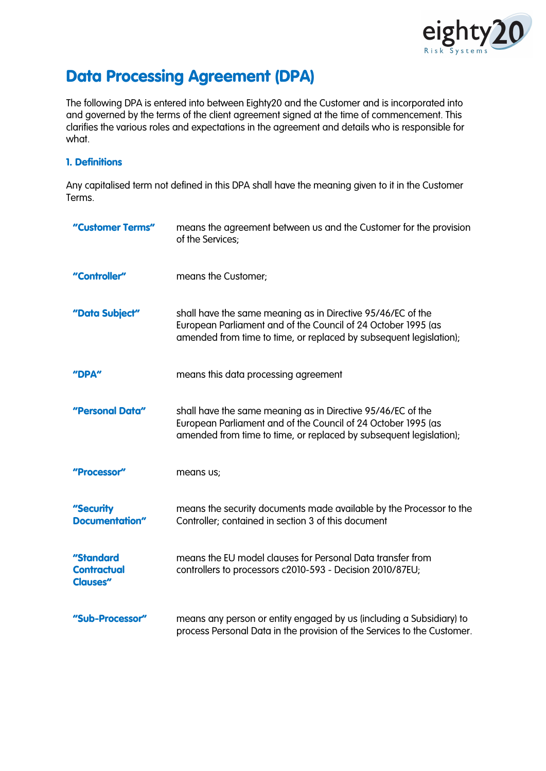

## Data Processing Agreement (DPA)

The following DPA is entered into between Eighty20 and the Customer and is incorporated into and governed by the terms of the client agreement signed at the time of commencement. This clarifies the various roles and expectations in the agreement and details who is responsible for what.

#### 1. Definitions

Any capitalised term not defined in this DPA shall have the meaning given to it in the Customer Terms.

| "Customer Terms"                                   | means the agreement between us and the Customer for the provision<br>of the Services;                                                                                                              |
|----------------------------------------------------|----------------------------------------------------------------------------------------------------------------------------------------------------------------------------------------------------|
| "Controller"                                       | means the Customer;                                                                                                                                                                                |
| "Data Subject"                                     | shall have the same meaning as in Directive 95/46/EC of the<br>European Parliament and of the Council of 24 October 1995 (as<br>amended from time to time, or replaced by subsequent legislation); |
| "DPA"                                              | means this data processing agreement                                                                                                                                                               |
| "Personal Data"                                    | shall have the same meaning as in Directive 95/46/EC of the<br>European Parliament and of the Council of 24 October 1995 (as<br>amended from time to time, or replaced by subsequent legislation); |
| "Processor"                                        | means us;                                                                                                                                                                                          |
| "Security<br>Documentation"                        | means the security documents made available by the Processor to the<br>Controller; contained in section 3 of this document                                                                         |
| "Standard<br><b>Contractual</b><br><b>Clauses"</b> | means the EU model clauses for Personal Data transfer from<br>controllers to processors c2010-593 - Decision 2010/87EU;                                                                            |
| "Sub-Processor"                                    | means any person or entity engaged by us (including a Subsidiary) to<br>process Personal Data in the provision of the Services to the Customer.                                                    |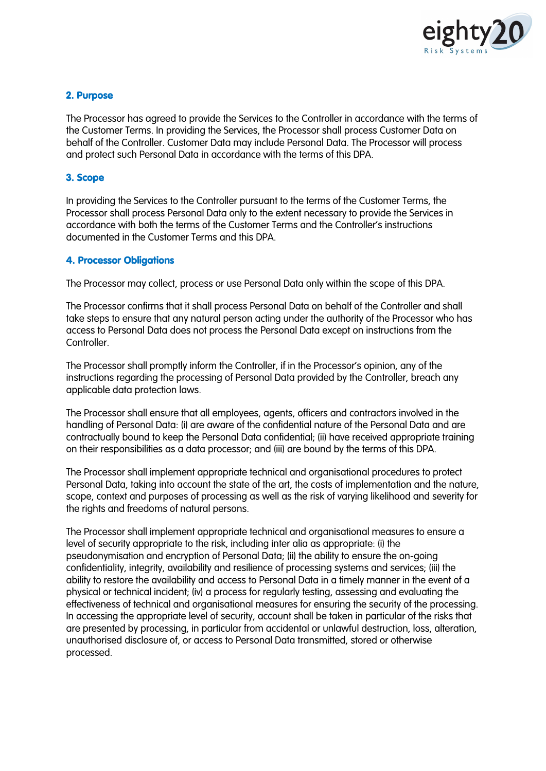

#### 2. Purpose

The Processor has agreed to provide the Services to the Controller in accordance with the terms of the Customer Terms. In providing the Services, the Processor shall process Customer Data on behalf of the Controller. Customer Data may include Personal Data. The Processor will process and protect such Personal Data in accordance with the terms of this DPA.

#### 3. Scope

In providing the Services to the Controller pursuant to the terms of the Customer Terms, the Processor shall process Personal Data only to the extent necessary to provide the Services in accordance with both the terms of the Customer Terms and the Controller's instructions documented in the Customer Terms and this DPA.

#### 4. Processor Obligations

The Processor may collect, process or use Personal Data only within the scope of this DPA.

The Processor confirms that it shall process Personal Data on behalf of the Controller and shall take steps to ensure that any natural person acting under the authority of the Processor who has access to Personal Data does not process the Personal Data except on instructions from the **Controller** 

The Processor shall promptly inform the Controller, if in the Processor's opinion, any of the instructions regarding the processing of Personal Data provided by the Controller, breach any applicable data protection laws.

The Processor shall ensure that all employees, agents, officers and contractors involved in the handling of Personal Data: (i) are aware of the confidential nature of the Personal Data and are contractually bound to keep the Personal Data confidential; (ii) have received appropriate training on their responsibilities as a data processor; and (iii) are bound by the terms of this DPA.

The Processor shall implement appropriate technical and organisational procedures to protect Personal Data, taking into account the state of the art, the costs of implementation and the nature, scope, context and purposes of processing as well as the risk of varying likelihood and severity for the rights and freedoms of natural persons.

The Processor shall implement appropriate technical and organisational measures to ensure a level of security appropriate to the risk, including inter alia as appropriate: (i) the pseudonymisation and encryption of Personal Data; (ii) the ability to ensure the on-going confidentiality, integrity, availability and resilience of processing systems and services; (iii) the ability to restore the availability and access to Personal Data in a timely manner in the event of a physical or technical incident; (iv) a process for regularly testing, assessing and evaluating the effectiveness of technical and organisational measures for ensuring the security of the processing. In accessing the appropriate level of security, account shall be taken in particular of the risks that are presented by processing, in particular from accidental or unlawful destruction, loss, alteration, unauthorised disclosure of, or access to Personal Data transmitted, stored or otherwise processed.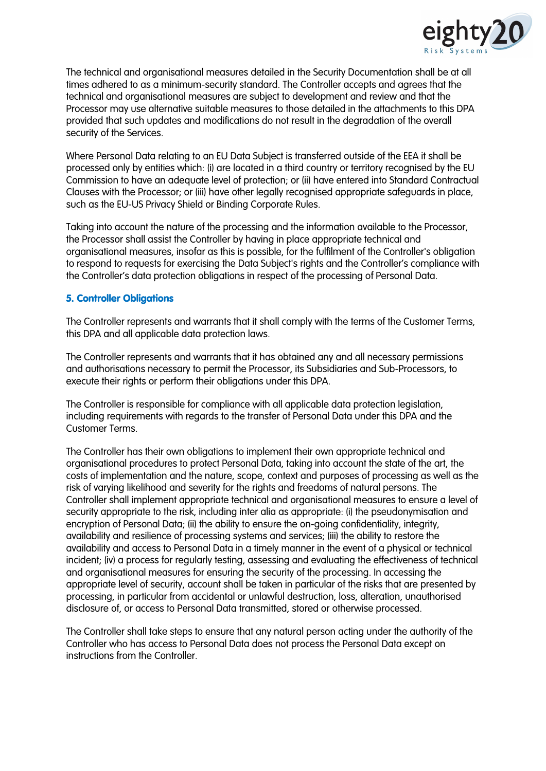

The technical and organisational measures detailed in the Security Documentation shall be at all times adhered to as a minimum-security standard. The Controller accepts and agrees that the technical and organisational measures are subject to development and review and that the Processor may use alternative suitable measures to those detailed in the attachments to this DPA provided that such updates and modifications do not result in the degradation of the overall security of the Services.

Where Personal Data relating to an EU Data Subject is transferred outside of the EEA it shall be processed only by entities which: (i) are located in a third country or territory recognised by the EU Commission to have an adequate level of protection; or (ii) have entered into Standard Contractual Clauses with the Processor; or (iii) have other legally recognised appropriate safeguards in place, such as the EU-US Privacy Shield or Binding Corporate Rules.

Taking into account the nature of the processing and the information available to the Processor, the Processor shall assist the Controller by having in place appropriate technical and organisational measures, insofar as this is possible, for the fulfilment of the Controller's obligation to respond to requests for exercising the Data Subject's rights and the Controller's compliance with the Controller's data protection obligations in respect of the processing of Personal Data.

#### 5. Controller Obligations

The Controller represents and warrants that it shall comply with the terms of the Customer Terms, this DPA and all applicable data protection laws.

The Controller represents and warrants that it has obtained any and all necessary permissions and authorisations necessary to permit the Processor, its Subsidiaries and Sub-Processors, to execute their rights or perform their obligations under this DPA.

The Controller is responsible for compliance with all applicable data protection legislation, including requirements with regards to the transfer of Personal Data under this DPA and the Customer Terms.

The Controller has their own obligations to implement their own appropriate technical and organisational procedures to protect Personal Data, taking into account the state of the art, the costs of implementation and the nature, scope, context and purposes of processing as well as the risk of varying likelihood and severity for the rights and freedoms of natural persons. The Controller shall implement appropriate technical and organisational measures to ensure a level of security appropriate to the risk, including inter alia as appropriate: (i) the pseudonymisation and encryption of Personal Data; (ii) the ability to ensure the on-going confidentiality, integrity, availability and resilience of processing systems and services; (iii) the ability to restore the availability and access to Personal Data in a timely manner in the event of a physical or technical incident; (iv) a process for regularly testing, assessing and evaluating the effectiveness of technical and organisational measures for ensuring the security of the processing. In accessing the appropriate level of security, account shall be taken in particular of the risks that are presented by processing, in particular from accidental or unlawful destruction, loss, alteration, unauthorised disclosure of, or access to Personal Data transmitted, stored or otherwise processed.

The Controller shall take steps to ensure that any natural person acting under the authority of the Controller who has access to Personal Data does not process the Personal Data except on instructions from the Controller.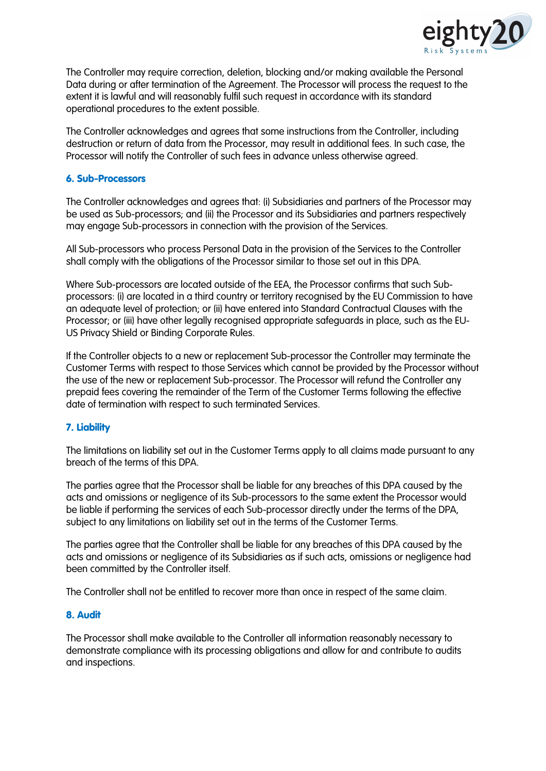

The Controller may require correction, deletion, blocking and/or making available the Personal Data during or after termination of the Agreement. The Processor will process the request to the extent it is lawful and will reasonably fulfil such request in accordance with its standard operational procedures to the extent possible.

The Controller acknowledges and agrees that some instructions from the Controller, including destruction or return of data from the Processor, may result in additional fees. In such case, the Processor will notify the Controller of such fees in advance unless otherwise agreed.

#### 6. Sub-Processors

The Controller acknowledges and agrees that: (i) Subsidiaries and partners of the Processor may be used as Sub-processors; and (ii) the Processor and its Subsidiaries and partners respectively may engage Sub-processors in connection with the provision of the Services.

All Sub-processors who process Personal Data in the provision of the Services to the Controller shall comply with the obligations of the Processor similar to those set out in this DPA.

Where Sub-processors are located outside of the EEA, the Processor confirms that such Subprocessors: (i) are located in a third country or territory recognised by the EU Commission to have an adequate level of protection; or (ii) have entered into Standard Contractual Clauses with the Processor; or (iii) have other legally recognised appropriate safeguards in place, such as the EU-US Privacy Shield or Binding Corporate Rules.

If the Controller objects to a new or replacement Sub-processor the Controller may terminate the Customer Terms with respect to those Services which cannot be provided by the Processor without the use of the new or replacement Sub-processor. The Processor will refund the Controller any prepaid fees covering the remainder of the Term of the Customer Terms following the effective date of termination with respect to such terminated Services.

#### 7. Liability

The limitations on liability set out in the Customer Terms apply to all claims made pursuant to any breach of the terms of this DPA.

The parties agree that the Processor shall be liable for any breaches of this DPA caused by the acts and omissions or negligence of its Sub-processors to the same extent the Processor would be liable if performing the services of each Sub-processor directly under the terms of the DPA, subject to any limitations on liability set out in the terms of the Customer Terms.

The parties agree that the Controller shall be liable for any breaches of this DPA caused by the acts and omissions or negligence of its Subsidiaries as if such acts, omissions or negligence had been committed by the Controller itself.

The Controller shall not be entitled to recover more than once in respect of the same claim.

#### 8. Audit

The Processor shall make available to the Controller all information reasonably necessary to demonstrate compliance with its processing obligations and allow for and contribute to audits and inspections.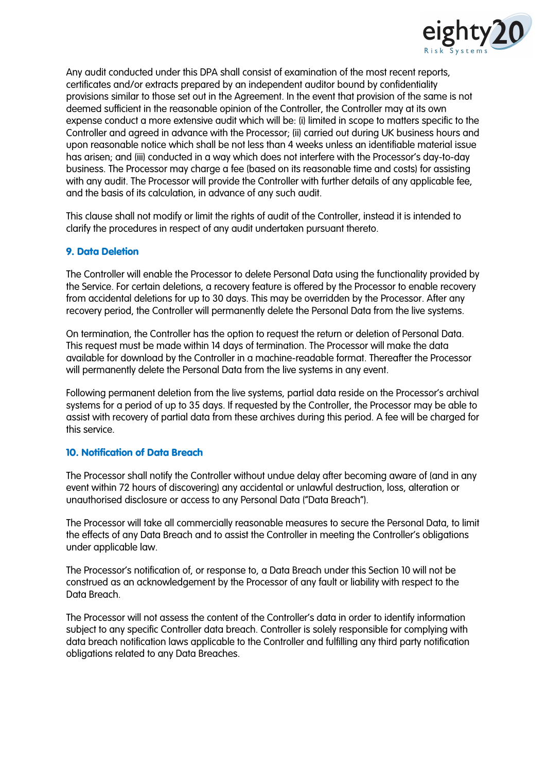

Any audit conducted under this DPA shall consist of examination of the most recent reports, certificates and/or extracts prepared by an independent auditor bound by confidentiality provisions similar to those set out in the Agreement. In the event that provision of the same is not deemed sufficient in the reasonable opinion of the Controller, the Controller may at its own expense conduct a more extensive audit which will be: (i) limited in scope to matters specific to the Controller and agreed in advance with the Processor; (ii) carried out during UK business hours and upon reasonable notice which shall be not less than 4 weeks unless an identifiable material issue has arisen; and (iii) conducted in a way which does not interfere with the Processor's day-to-day business. The Processor may charge a fee (based on its reasonable time and costs) for assisting with any audit. The Processor will provide the Controller with further details of any applicable fee, and the basis of its calculation, in advance of any such audit.

This clause shall not modify or limit the rights of audit of the Controller, instead it is intended to clarify the procedures in respect of any audit undertaken pursuant thereto.

#### 9. Data Deletion

The Controller will enable the Processor to delete Personal Data using the functionality provided by the Service. For certain deletions, a recovery feature is offered by the Processor to enable recovery from accidental deletions for up to 30 days. This may be overridden by the Processor. After any recovery period, the Controller will permanently delete the Personal Data from the live systems.

On termination, the Controller has the option to request the return or deletion of Personal Data. This request must be made within 14 days of termination. The Processor will make the data available for download by the Controller in a machine-readable format. Thereafter the Processor will permanently delete the Personal Data from the live systems in any event.

Following permanent deletion from the live systems, partial data reside on the Processor's archival systems for a period of up to 35 days. If requested by the Controller, the Processor may be able to assist with recovery of partial data from these archives during this period. A fee will be charged for this service.

#### 10. Notification of Data Breach

The Processor shall notify the Controller without undue delay after becoming aware of (and in any event within 72 hours of discovering) any accidental or unlawful destruction, loss, alteration or unauthorised disclosure or access to any Personal Data ("Data Breach").

The Processor will take all commercially reasonable measures to secure the Personal Data, to limit the effects of any Data Breach and to assist the Controller in meeting the Controller's obligations under applicable law.

The Processor's notification of, or response to, a Data Breach under this Section 10 will not be construed as an acknowledgement by the Processor of any fault or liability with respect to the Data Breach.

The Processor will not assess the content of the Controller's data in order to identify information subject to any specific Controller data breach. Controller is solely responsible for complying with data breach notification laws applicable to the Controller and fulfilling any third party notification obligations related to any Data Breaches.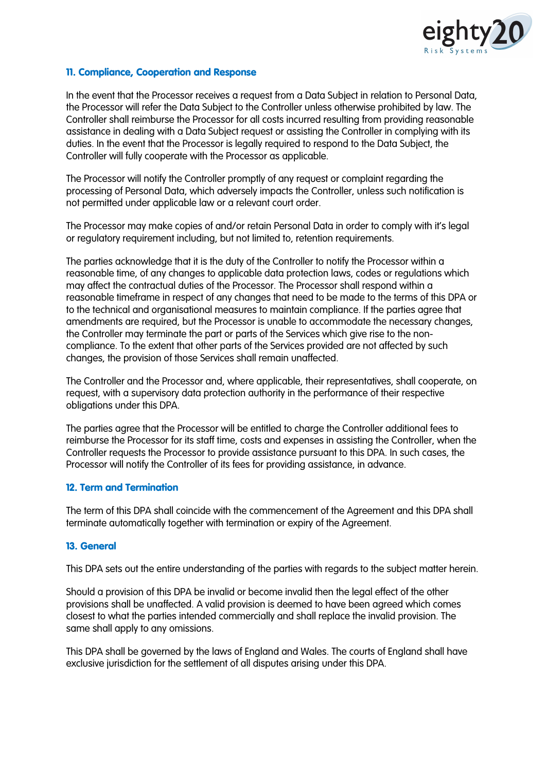

#### 11. Compliance, Cooperation and Response

In the event that the Processor receives a request from a Data Subject in relation to Personal Data, the Processor will refer the Data Subject to the Controller unless otherwise prohibited by law. The Controller shall reimburse the Processor for all costs incurred resulting from providing reasonable assistance in dealing with a Data Subject request or assisting the Controller in complying with its duties. In the event that the Processor is legally required to respond to the Data Subject, the Controller will fully cooperate with the Processor as applicable.

The Processor will notify the Controller promptly of any request or complaint regarding the processing of Personal Data, which adversely impacts the Controller, unless such notification is not permitted under applicable law or a relevant court order.

The Processor may make copies of and/or retain Personal Data in order to comply with it's legal or regulatory requirement including, but not limited to, retention requirements.

The parties acknowledge that it is the duty of the Controller to notify the Processor within a reasonable time, of any changes to applicable data protection laws, codes or regulations which may affect the contractual duties of the Processor. The Processor shall respond within a reasonable timeframe in respect of any changes that need to be made to the terms of this DPA or to the technical and organisational measures to maintain compliance. If the parties agree that amendments are required, but the Processor is unable to accommodate the necessary changes, the Controller may terminate the part or parts of the Services which give rise to the noncompliance. To the extent that other parts of the Services provided are not affected by such changes, the provision of those Services shall remain unaffected.

The Controller and the Processor and, where applicable, their representatives, shall cooperate, on request, with a supervisory data protection authority in the performance of their respective obligations under this DPA.

The parties agree that the Processor will be entitled to charge the Controller additional fees to reimburse the Processor for its staff time, costs and expenses in assisting the Controller, when the Controller requests the Processor to provide assistance pursuant to this DPA. In such cases, the Processor will notify the Controller of its fees for providing assistance, in advance.

#### 12. Term and Termination

The term of this DPA shall coincide with the commencement of the Agreement and this DPA shall terminate automatically together with termination or expiry of the Agreement.

#### 13. General

This DPA sets out the entire understanding of the parties with regards to the subject matter herein.

Should a provision of this DPA be invalid or become invalid then the legal effect of the other provisions shall be unaffected. A valid provision is deemed to have been agreed which comes closest to what the parties intended commercially and shall replace the invalid provision. The same shall apply to any omissions.

This DPA shall be governed by the laws of England and Wales. The courts of England shall have exclusive jurisdiction for the settlement of all disputes arising under this DPA.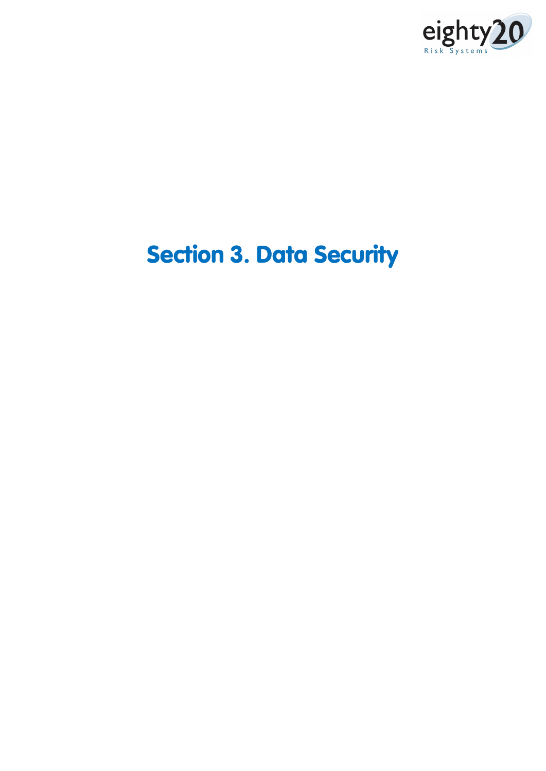

# Section 3. Data Security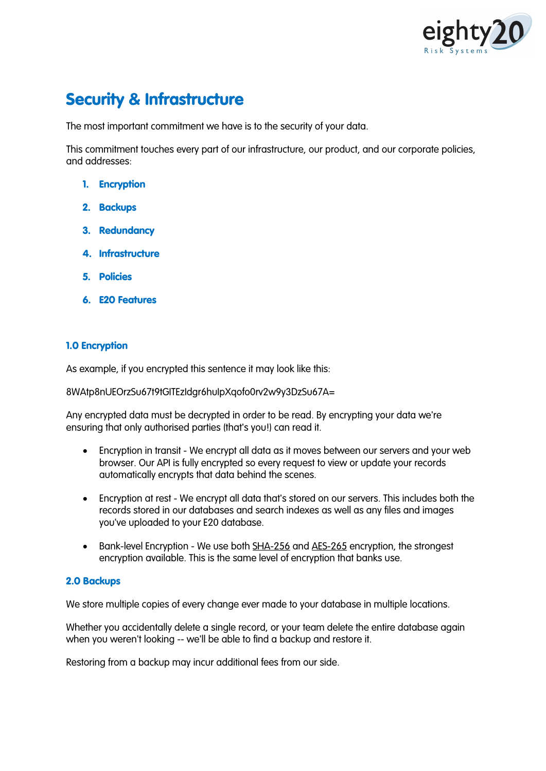

## Security & Infrastructure

The most important commitment we have is to the security of your data.

This commitment touches every part of our infrastructure, our product, and our corporate policies, and addresses:

- 1. Encryption
- 2. Backups
- 3. Redundancy
- 4. Infrastructure
- 5. Policies
- 6. E20 Features

#### 1.0 Encryption

As example, if you encrypted this sentence it may look like this:

8WAtp8nUEOrzSu67t9tGITEzIdgr6huIpXqofo0rv2w9y3DzSu67A=

Any encrypted data must be decrypted in order to be read. By encrypting your data we're ensuring that only authorised parties (that's you!) can read it.

- Encryption in transit We encrypt all data as it moves between our servers and your web browser. Our API is fully encrypted so every request to view or update your records automatically encrypts that data behind the scenes.
- Encryption at rest We encrypt all data that's stored on our servers. This includes both the records stored in our databases and search indexes as well as any files and images you've uploaded to your E20 database.
- Bank-level Encryption We use both SHA-256 and AES-265 encryption, the strongest encryption available. This is the same level of encryption that banks use.

#### 2.0 Backups

We store multiple copies of every change ever made to your database in multiple locations.

Whether you accidentally delete a single record, or your team delete the entire database again when you weren't looking -- we'll be able to find a backup and restore it.

Restoring from a backup may incur additional fees from our side.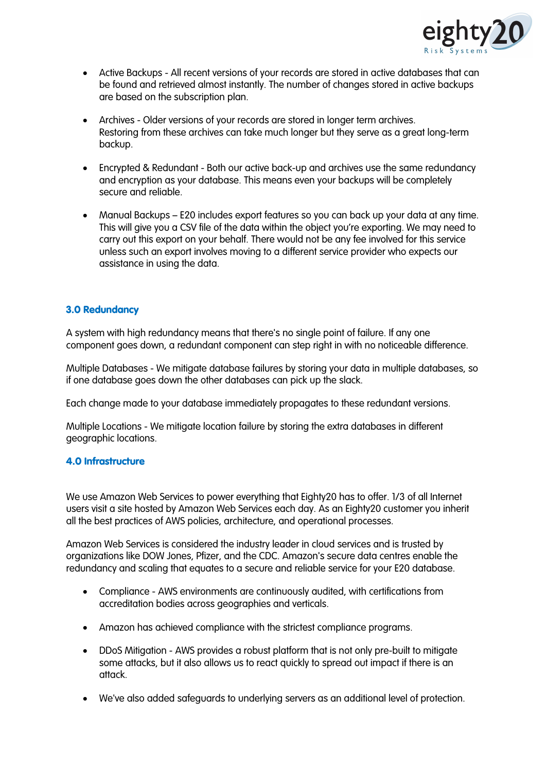

- Active Backups All recent versions of your records are stored in active databases that can be found and retrieved almost instantly. The number of changes stored in active backups are based on the subscription plan.
- Archives Older versions of your records are stored in longer term archives. Restoring from these archives can take much longer but they serve as a great long-term backup.
- Encrypted & Redundant Both our active back-up and archives use the same redundancy and encryption as your database. This means even your backups will be completely secure and reliable.
- Manual Backups E20 includes export features so you can back up your data at any time. This will give you a CSV file of the data within the object you're exporting. We may need to carry out this export on your behalf. There would not be any fee involved for this service unless such an export involves moving to a different service provider who expects our assistance in using the data.

#### 3.0 Redundancy

A system with high redundancy means that there's no single point of failure. If any one component goes down, a redundant component can step right in with no noticeable difference.

Multiple Databases - We mitigate database failures by storing your data in multiple databases, so if one database goes down the other databases can pick up the slack.

Each change made to your database immediately propagates to these redundant versions.

Multiple Locations - We mitigate location failure by storing the extra databases in different geographic locations.

#### 4.0 Infrastructure

We use Amazon Web Services to power everything that Eighty20 has to offer. 1/3 of all Internet users visit a site hosted by Amazon Web Services each day. As an Eighty20 customer you inherit all the best practices of AWS policies, architecture, and operational processes.

Amazon Web Services is considered the industry leader in cloud services and is trusted by organizations like DOW Jones, Pfizer, and the CDC. Amazon's secure data centres enable the redundancy and scaling that equates to a secure and reliable service for your E20 database.

- Compliance AWS environments are continuously audited, with certifications from accreditation bodies across geographies and verticals.
- Amazon has achieved compliance with the strictest compliance programs.
- DDoS Mitigation AWS provides a robust platform that is not only pre-built to mitigate some attacks, but it also allows us to react quickly to spread out impact if there is an attack.
- We've also added safeguards to underlying servers as an additional level of protection.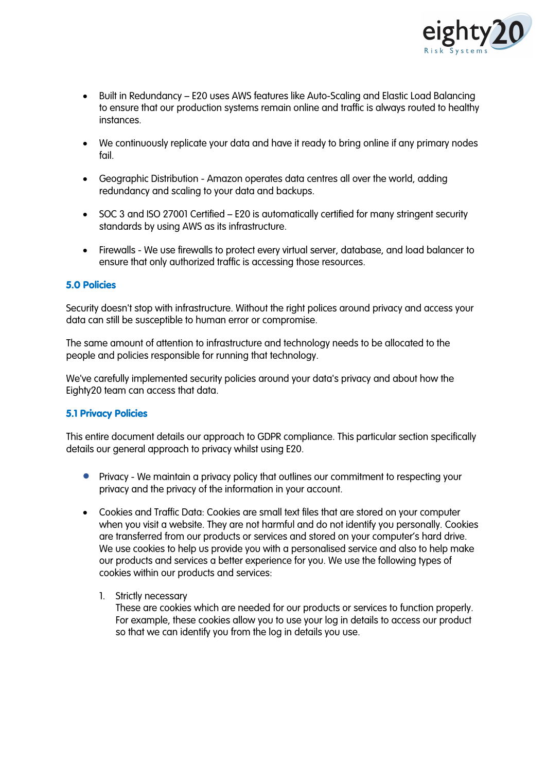

- Built in Redundancy E20 uses AWS features like Auto-Scaling and Elastic Load Balancing to ensure that our production systems remain online and traffic is always routed to healthy instances.
- We continuously replicate your data and have it ready to bring online if any primary nodes fail.
- Geographic Distribution Amazon operates data centres all over the world, adding redundancy and scaling to your data and backups.
- SOC 3 and ISO 27001 Certified E20 is automatically certified for many stringent security standards by using AWS as its infrastructure.
- Firewalls We use firewalls to protect every virtual server, database, and load balancer to ensure that only authorized traffic is accessing those resources.

#### 5.0 Policies

Security doesn't stop with infrastructure. Without the right polices around privacy and access your data can still be susceptible to human error or compromise.

The same amount of attention to infrastructure and technology needs to be allocated to the people and policies responsible for running that technology.

We've carefully implemented security policies around your data's privacy and about how the Eighty20 team can access that data.

#### 5.1 Privacy Policies

This entire document details our approach to GDPR compliance. This particular section specifically details our general approach to privacy whilst using E20.

- Privacy We maintain a privacy policy that outlines our commitment to respecting your privacy and the privacy of the information in your account.
- Cookies and Traffic Data: Cookies are small text files that are stored on your computer when you visit a website. They are not harmful and do not identify you personally. Cookies are transferred from our products or services and stored on your computer's hard drive. We use cookies to help us provide you with a personalised service and also to help make our products and services a better experience for you. We use the following types of cookies within our products and services:
	- 1. Strictly necessary

These are cookies which are needed for our products or services to function properly. For example, these cookies allow you to use your log in details to access our product so that we can identify you from the log in details you use.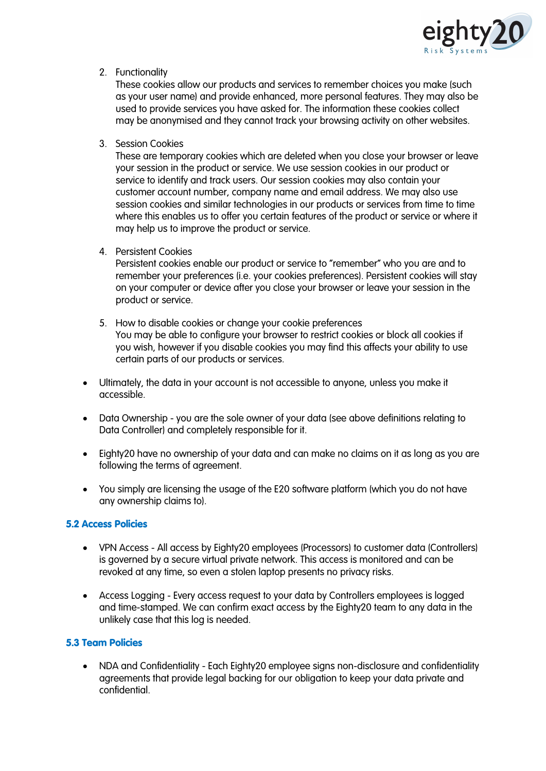

2. Functionality

These cookies allow our products and services to remember choices you make (such as your user name) and provide enhanced, more personal features. They may also be used to provide services you have asked for. The information these cookies collect may be anonymised and they cannot track your browsing activity on other websites.

3. Session Cookies

These are temporary cookies which are deleted when you close your browser or leave your session in the product or service. We use session cookies in our product or service to identify and track users. Our session cookies may also contain your customer account number, company name and email address. We may also use session cookies and similar technologies in our products or services from time to time where this enables us to offer you certain features of the product or service or where it may help us to improve the product or service.

4. Persistent Cookies

Persistent cookies enable our product or service to "remember" who you are and to remember your preferences (i.e. your cookies preferences). Persistent cookies will stay on your computer or device after you close your browser or leave your session in the product or service.

- 5. How to disable cookies or change your cookie preferences You may be able to configure your browser to restrict cookies or block all cookies if you wish, however if you disable cookies you may find this affects your ability to use certain parts of our products or services.
- Ultimately, the data in your account is not accessible to anyone, unless you make it accessible.
- Data Ownership you are the sole owner of your data (see above definitions relating to Data Controller) and completely responsible for it.
- Eighty20 have no ownership of your data and can make no claims on it as long as you are following the terms of agreement.
- You simply are licensing the usage of the E20 software platform (which you do not have any ownership claims to).

#### 5.2 Access Policies

- VPN Access All access by Eighty20 employees (Processors) to customer data (Controllers) is governed by a secure virtual private network. This access is monitored and can be revoked at any time, so even a stolen laptop presents no privacy risks.
- Access Logging Every access request to your data by Controllers employees is logged and time-stamped. We can confirm exact access by the Eighty20 team to any data in the unlikely case that this log is needed.

#### 5.3 Team Policies

• NDA and Confidentiality - Each Eighty20 employee signs non-disclosure and confidentiality agreements that provide legal backing for our obligation to keep your data private and confidential.